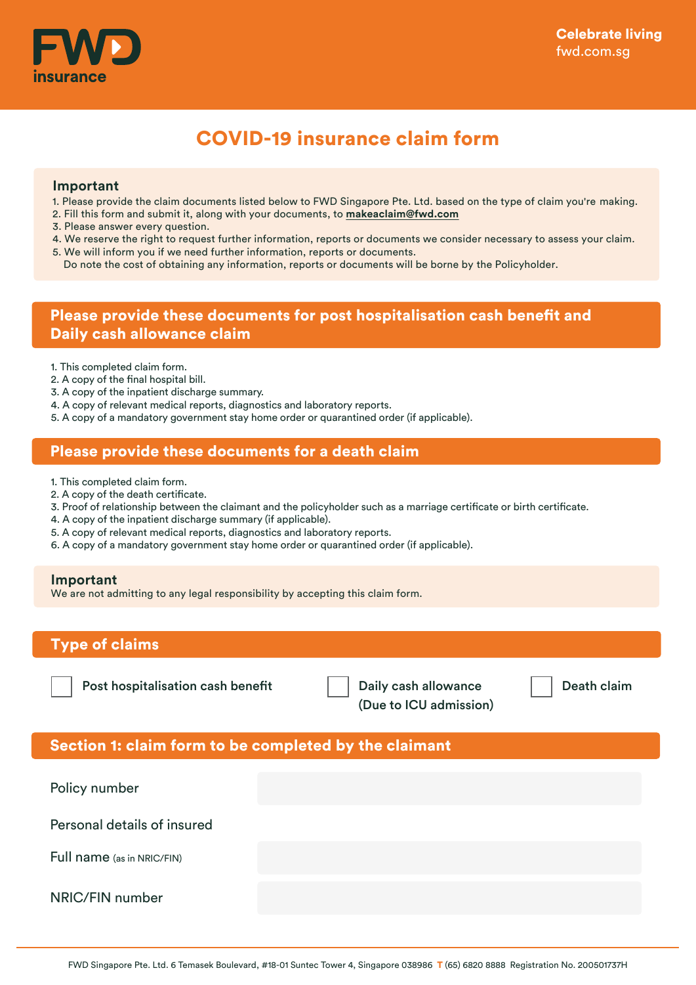

# COVID-19 insurance claim form

#### **Important**

- 1. Please provide the claim documents listed below to FWD Singapore Pte. Ltd. based on the type of claim you're making.
- 2. Fill this form and submit it, along with your documents, to **makeaclaim@fwd.com**
- 3. Please answer every question.
- 4. We reserve the right to request further information, reports or documents we consider necessary to assess your claim.
- 5. We will inform you if we need further information, reports or documents.
- Do note the cost of obtaining any information, reports or documents will be borne by the Policyholder.

## Please provide these documents for post hospitalisation cash benefit and Daily cash allowance claim

- 1. This completed claim form.
- 2. A copy of the final hospital bill.
- 3. A copy of the inpatient discharge summary.
- 4. A copy of relevant medical reports, diagnostics and laboratory reports.
- 5. A copy of a mandatory government stay home order or quarantined order (if applicable).

#### Please provide these documents for a death claim

- 1. This completed claim form.
- 2. A copy of the death certificate.
- 3. Proof of relationship between the claimant and the policyholder such as a marriage certificate or birth certificate.
- 4. A copy of the inpatient discharge summary (if applicable).
- 5. A copy of relevant medical reports, diagnostics and laboratory reports.
- 6. A copy of a mandatory government stay home order or quarantined order (if applicable).

#### **Important**

We are not admitting to any legal responsibility by accepting this claim form.

### Type of claims

Post hospitalisation cash benefit  $\|\cdot\|$  Daily cash allowance  $\|\cdot\|$  Death claim

(Due to ICU admission)

### Section 1: claim form to be completed by the claimant

Policy number Personal details of insured NRIC/FIN number Full name (as in NRIC/FIN)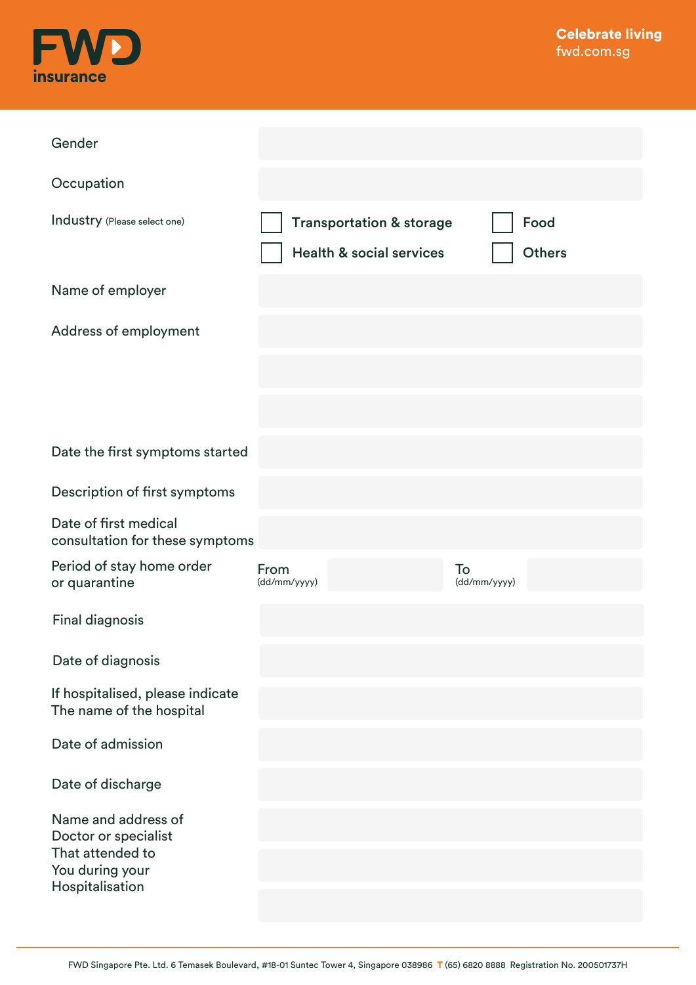

| Gender                                                       |                      |                                                                            |                    |                       |
|--------------------------------------------------------------|----------------------|----------------------------------------------------------------------------|--------------------|-----------------------|
| Occupation                                                   |                      |                                                                            |                    |                       |
| Industry (Please select one)                                 |                      | <b>Transportation &amp; storage</b><br><b>Health &amp; social services</b> |                    | Food<br><b>Others</b> |
| Name of employer                                             |                      |                                                                            |                    |                       |
| Address of employment                                        |                      |                                                                            |                    |                       |
|                                                              |                      |                                                                            |                    |                       |
|                                                              |                      |                                                                            |                    |                       |
| Date the first symptoms started                              |                      |                                                                            |                    |                       |
| Description of first symptoms                                |                      |                                                                            |                    |                       |
| Date of first medical<br>consultation for these symptoms     |                      |                                                                            |                    |                       |
| Period of stay home order<br>or quarantine                   | From<br>(dd/mm/yyyy) |                                                                            | To<br>(dd/mm/yyyy) |                       |
| <b>Final diagnosis</b>                                       |                      |                                                                            |                    |                       |
| Date of diagnosis                                            |                      |                                                                            |                    |                       |
| If hospitalised, please indicate<br>The name of the hospital |                      |                                                                            |                    |                       |
| Date of admission                                            |                      |                                                                            |                    |                       |
| Date of discharge                                            |                      |                                                                            |                    |                       |
| Name and address of<br>Doctor or specialist                  |                      |                                                                            |                    |                       |
| That attended to<br>You during your                          |                      |                                                                            |                    |                       |
| Hospitalisation                                              |                      |                                                                            |                    |                       |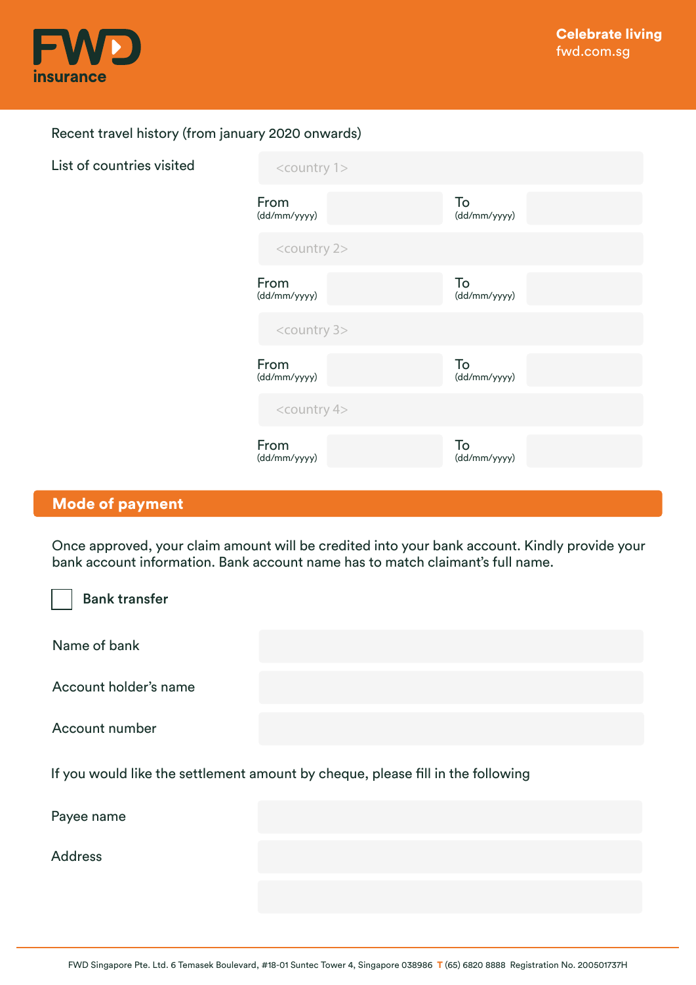

### Recent travel history (from january 2020 onwards)

| List of countries visited | <country 1=""></country> |                    |  |
|---------------------------|--------------------------|--------------------|--|
|                           | From<br>(dd/mm/yyyy)     | To<br>(dd/mm/yyyy) |  |
|                           | <country 2=""></country> |                    |  |
|                           | From<br>(dd/mm/yyyy)     | To<br>(dd/mm/yyyy) |  |
|                           | <country 3=""></country> |                    |  |
|                           | From<br>(dd/mm/yyyy)     | To<br>(dd/mm/yyyy) |  |
|                           | <country 4=""></country> |                    |  |
|                           | From<br>(dd/mm/yyyy)     | To<br>(dd/mm/yyyy) |  |

# Mode of payment

Once approved, your claim amount will be credited into your bank account. Kindly provide your bank account information. Bank account name has to match claimant's full name.

| <b>Bank transfer</b>                                                            |  |  |  |
|---------------------------------------------------------------------------------|--|--|--|
| Name of bank                                                                    |  |  |  |
| Account holder's name                                                           |  |  |  |
| Account number                                                                  |  |  |  |
| If you would like the settlement amount by cheque, please fill in the following |  |  |  |
| Payee name                                                                      |  |  |  |
| <b>Address</b>                                                                  |  |  |  |
|                                                                                 |  |  |  |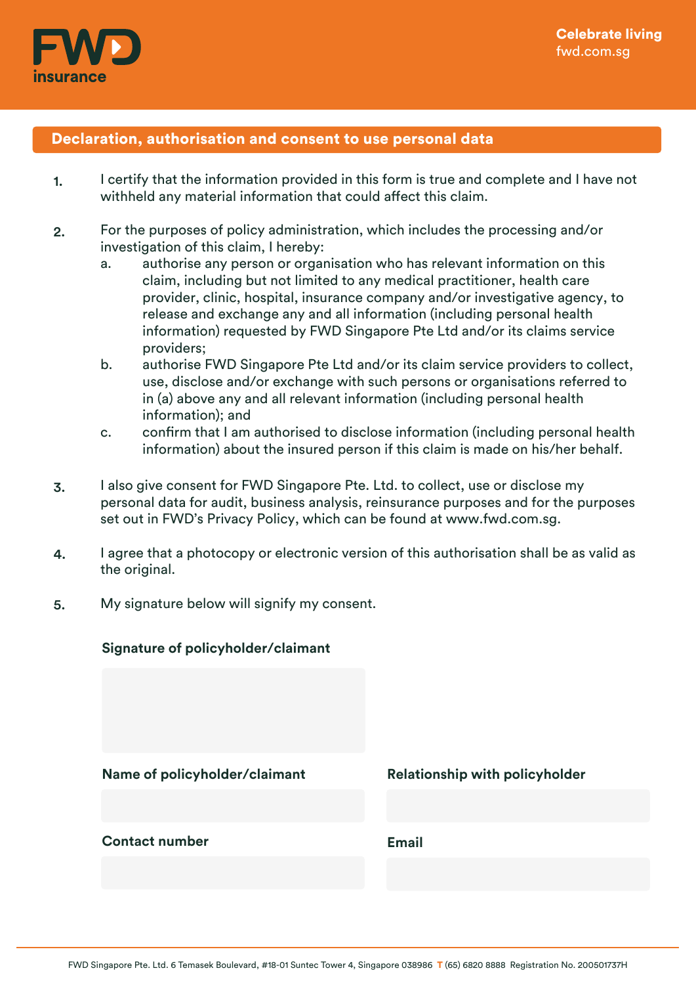

### Declaration, authorisation and consent to use personal data

- I certify that the information provided in this form is true and complete and I have not withheld any material information that could affect this claim. 1.
- For the purposes of policy administration, which includes the processing and/or investigation of this claim, I hereby: 2.
	- a. authorise any person or organisation who has relevant information on this claim, including but not limited to any medical practitioner, health care provider, clinic, hospital, insurance company and/or investigative agency, to release and exchange any and all information (including personal health information) requested by FWD Singapore Pte Ltd and/or its claims service providers;
	- b. authorise FWD Singapore Pte Ltd and/or its claim service providers to collect, use, disclose and/or exchange with such persons or organisations referred to in (a) above any and all relevant information (including personal health information); and
	- c. confirm that I am authorised to disclose information (including personal health information) about the insured person if this claim is made on his/her behalf.
- I also give consent for FWD Singapore Pte. Ltd. to collect, use or disclose my personal data for audit, business analysis, reinsurance purposes and for the purposes set out in FWD's Privacy Policy, which can be found at www.fwd.com.sg. 3.
- I agree that a photocopy or electronic version of this authorisation shall be as valid as the original. 4.
- My signature below will signify my consent. 5.

| Signature of policyholder/claimant |                                       |
|------------------------------------|---------------------------------------|
| Name of policyholder/claimant      | <b>Relationship with policyholder</b> |
| <b>Contact number</b>              | <b>Email</b>                          |

#### FWD Singapore Pte. Ltd. 6 Temasek Boulevard, #18-01 Suntec Tower 4, Singapore 038986 T (65) 6820 8888 Registration No. 200501737H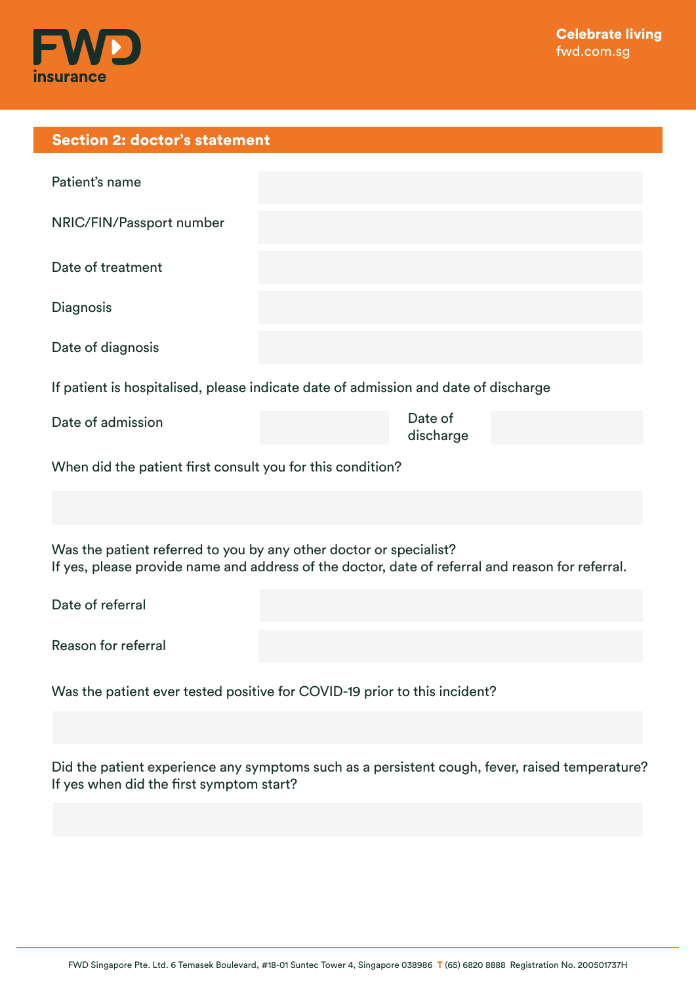

| <b>Section 2: doctor's statement</b>                                                                                                                                   |                      |  |  |  |
|------------------------------------------------------------------------------------------------------------------------------------------------------------------------|----------------------|--|--|--|
| Patient's name                                                                                                                                                         |                      |  |  |  |
| NRIC/FIN/Passport number                                                                                                                                               |                      |  |  |  |
| Date of treatment                                                                                                                                                      |                      |  |  |  |
| Diagnosis                                                                                                                                                              |                      |  |  |  |
| Date of diagnosis                                                                                                                                                      |                      |  |  |  |
| If patient is hospitalised, please indicate date of admission and date of discharge                                                                                    |                      |  |  |  |
| Date of admission                                                                                                                                                      | Date of<br>discharge |  |  |  |
| When did the patient first consult you for this condition?                                                                                                             |                      |  |  |  |
|                                                                                                                                                                        |                      |  |  |  |
| Was the patient referred to you by any other doctor or specialist?<br>If yes, please provide name and address of the doctor, date of referral and reason for referral. |                      |  |  |  |
| Date of referral                                                                                                                                                       |                      |  |  |  |
| Reason for referral                                                                                                                                                    |                      |  |  |  |
| Was the patient ever tested positive for COVID-19 prior to this incident?                                                                                              |                      |  |  |  |

Did the patient experience any symptoms such as a persistent cough, fever, raised temperature? If yes when did the first symptom start?